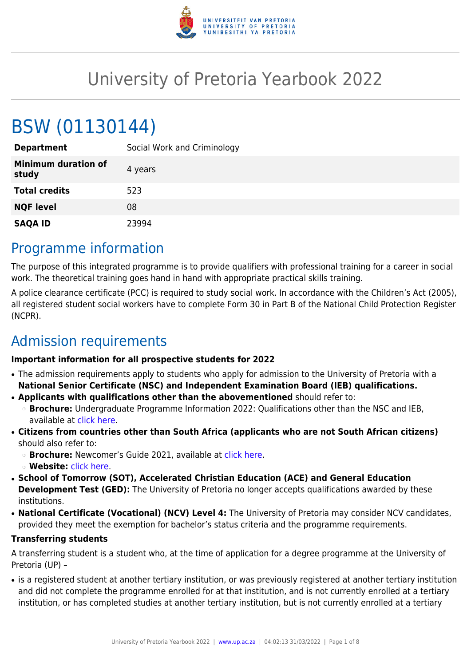

# University of Pretoria Yearbook 2022

# BSW (01130144)

| <b>Department</b>                   | Social Work and Criminology |
|-------------------------------------|-----------------------------|
| <b>Minimum duration of</b><br>study | 4 years                     |
| <b>Total credits</b>                | 523                         |
| <b>NQF level</b>                    | 08                          |
| <b>SAQA ID</b>                      | 23994                       |

## Programme information

The purpose of this integrated programme is to provide qualifiers with professional training for a career in social work. The theoretical training goes hand in hand with appropriate practical skills training.

A police clearance certificate (PCC) is required to study social work. In accordance with the Children's Act (2005), all registered student social workers have to complete Form 30 in Part B of the National Child Protection Register (NCPR).

# Admission requirements

#### **Important information for all prospective students for 2022**

- The admission requirements apply to students who apply for admission to the University of Pretoria with a **National Senior Certificate (NSC) and Independent Examination Board (IEB) qualifications.**
- **Applicants with qualifications other than the abovementioned** should refer to:
	- ❍ **Brochure:** Undergraduate Programme Information 2022: Qualifications other than the NSC and IEB, available at [click here.](https://www.up.ac.za/students/article/2749263/admission-information)
- **Citizens from countries other than South Africa (applicants who are not South African citizens)** should also refer to:
	- ❍ **Brochure:** Newcomer's Guide 2021, available at [click here.](https://www.up.ac.za/students/article/2749263/admission-information)
	- ❍ **Website:** [click here](http://www.up.ac.za/international-cooperation-division).
- **School of Tomorrow (SOT), Accelerated Christian Education (ACE) and General Education Development Test (GED):** The University of Pretoria no longer accepts qualifications awarded by these institutions.
- **National Certificate (Vocational) (NCV) Level 4:** The University of Pretoria may consider NCV candidates, provided they meet the exemption for bachelor's status criteria and the programme requirements.

#### **Transferring students**

A transferring student is a student who, at the time of application for a degree programme at the University of Pretoria (UP) –

• is a registered student at another tertiary institution, or was previously registered at another tertiary institution and did not complete the programme enrolled for at that institution, and is not currently enrolled at a tertiary institution, or has completed studies at another tertiary institution, but is not currently enrolled at a tertiary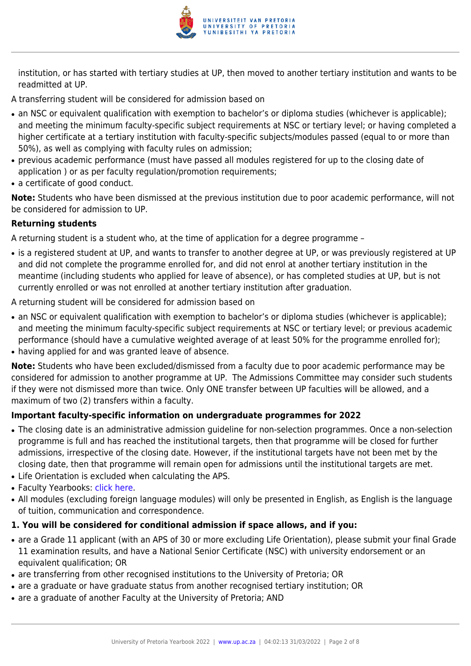

institution, or has started with tertiary studies at UP, then moved to another tertiary institution and wants to be readmitted at UP.

A transferring student will be considered for admission based on

- an NSC or equivalent qualification with exemption to bachelor's or diploma studies (whichever is applicable); and meeting the minimum faculty-specific subject requirements at NSC or tertiary level; or having completed a higher certificate at a tertiary institution with faculty-specific subjects/modules passed (equal to or more than 50%), as well as complying with faculty rules on admission;
- previous academic performance (must have passed all modules registered for up to the closing date of application ) or as per faculty regulation/promotion requirements;
- a certificate of good conduct.

**Note:** Students who have been dismissed at the previous institution due to poor academic performance, will not be considered for admission to UP.

#### **Returning students**

A returning student is a student who, at the time of application for a degree programme –

• is a registered student at UP, and wants to transfer to another degree at UP, or was previously registered at UP and did not complete the programme enrolled for, and did not enrol at another tertiary institution in the meantime (including students who applied for leave of absence), or has completed studies at UP, but is not currently enrolled or was not enrolled at another tertiary institution after graduation.

A returning student will be considered for admission based on

- an NSC or equivalent qualification with exemption to bachelor's or diploma studies (whichever is applicable); and meeting the minimum faculty-specific subject requirements at NSC or tertiary level; or previous academic performance (should have a cumulative weighted average of at least 50% for the programme enrolled for);
- having applied for and was granted leave of absence.

**Note:** Students who have been excluded/dismissed from a faculty due to poor academic performance may be considered for admission to another programme at UP. The Admissions Committee may consider such students if they were not dismissed more than twice. Only ONE transfer between UP faculties will be allowed, and a maximum of two (2) transfers within a faculty.

#### **Important faculty-specific information on undergraduate programmes for 2022**

- The closing date is an administrative admission guideline for non-selection programmes. Once a non-selection programme is full and has reached the institutional targets, then that programme will be closed for further admissions, irrespective of the closing date. However, if the institutional targets have not been met by the closing date, then that programme will remain open for admissions until the institutional targets are met.
- Life Orientation is excluded when calculating the APS.
- Faculty Yearbooks: [click here](http://www.up.ac.za/yearbooks/home).
- All modules (excluding foreign language modules) will only be presented in English, as English is the language of tuition, communication and correspondence.

#### **1. You will be considered for conditional admission if space allows, and if you:**

- are a Grade 11 applicant (with an APS of 30 or more excluding Life Orientation), please submit your final Grade 11 examination results, and have a National Senior Certificate (NSC) with university endorsement or an equivalent qualification; OR
- are transferring from other recognised institutions to the University of Pretoria; OR
- are a graduate or have graduate status from another recognised tertiary institution; OR
- are a graduate of another Faculty at the University of Pretoria; AND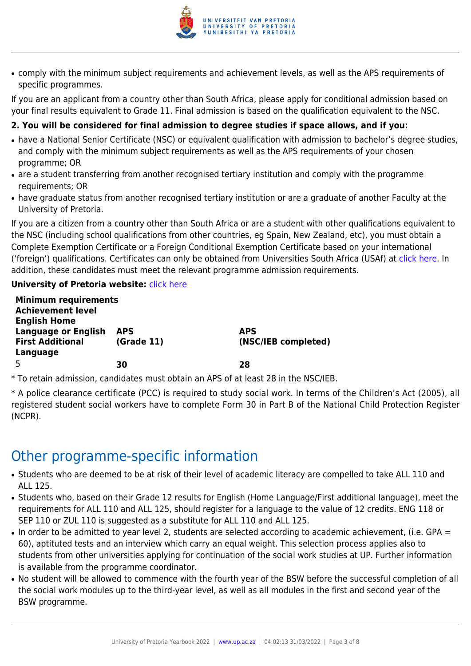

• comply with the minimum subject requirements and achievement levels, as well as the APS requirements of specific programmes.

If you are an applicant from a country other than South Africa, please apply for conditional admission based on your final results equivalent to Grade 11. Final admission is based on the qualification equivalent to the NSC.

#### **2. You will be considered for final admission to degree studies if space allows, and if you:**

- have a National Senior Certificate (NSC) or equivalent qualification with admission to bachelor's degree studies, and comply with the minimum subject requirements as well as the APS requirements of your chosen programme; OR
- are a student transferring from another recognised tertiary institution and comply with the programme requirements; OR
- have graduate status from another recognised tertiary institution or are a graduate of another Faculty at the University of Pretoria.

If you are a citizen from a country other than South Africa or are a student with other qualifications equivalent to the NSC (including school qualifications from other countries, eg Spain, New Zealand, etc), you must obtain a Complete Exemption Certificate or a Foreign Conditional Exemption Certificate based on your international ('foreign') qualifications. Certificates can only be obtained from Universities South Africa (USAf) at [click here](http://www.mb.usaf.ac.za). In addition, these candidates must meet the relevant programme admission requirements.

#### **University of Pretoria website: [click here](http://www.up.ac.za/faculty-of-humanities)**

| <b>Minimum requirements</b> |            |                     |
|-----------------------------|------------|---------------------|
| <b>Achievement level</b>    |            |                     |
| <b>English Home</b>         |            |                     |
| <b>Language or English</b>  | <b>APS</b> | <b>APS</b>          |
| <b>First Additional</b>     | (Grade 11) | (NSC/IEB completed) |
| Language                    |            |                     |
| .5                          | 30         | 28                  |
|                             |            |                     |

\* To retain admission, candidates must obtain an APS of at least 28 in the NSC/IEB.

\* A police clearance certificate (PCC) is required to study social work. In terms of the Children's Act (2005), all registered student social workers have to complete Form 30 in Part B of the National Child Protection Register (NCPR).

# Other programme-specific information

- Students who are deemed to be at risk of their level of academic literacy are compelled to take ALL 110 and ALL 125.
- Students who, based on their Grade 12 results for English (Home Language/First additional language), meet the requirements for ALL 110 and ALL 125, should register for a language to the value of 12 credits. ENG 118 or SEP 110 or ZUL 110 is suggested as a substitute for ALL 110 and ALL 125.
- In order to be admitted to year level 2, students are selected according to academic achievement, (i.e. GPA = 60), aptituted tests and an interview which carry an equal weight. This selection process applies also to students from other universities applying for continuation of the social work studies at UP. Further information is available from the programme coordinator.
- No student will be allowed to commence with the fourth year of the BSW before the successful completion of all the social work modules up to the third-year level, as well as all modules in the first and second year of the BSW programme.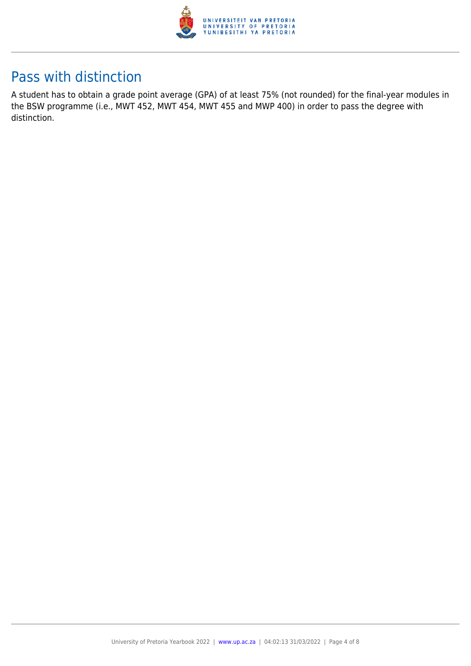

# Pass with distinction

A student has to obtain a grade point average (GPA) of at least 75% (not rounded) for the final-year modules in the BSW programme (i.e., MWT 452, MWT 454, MWT 455 and MWP 400) in order to pass the degree with distinction.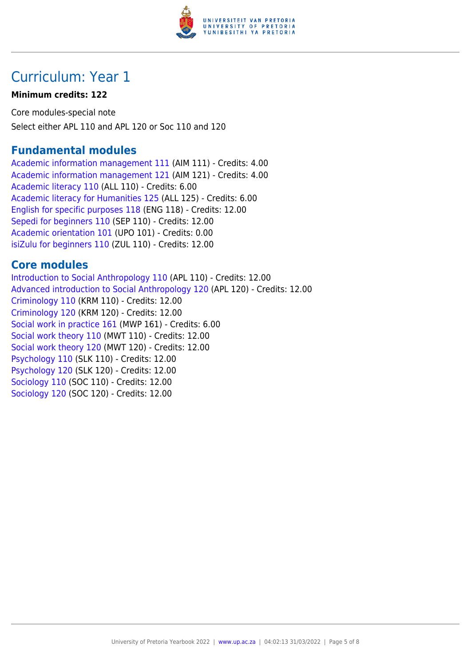

# Curriculum: Year 1

#### **Minimum credits: 122**

Core modules-special note Select either APL 110 and APL 120 or Soc 110 and 120

### **Fundamental modules**

[Academic information management 111](https://www.up.ac.za/yearbooks/2022/modules/view/AIM 111) (AIM 111) - Credits: 4.00 [Academic information management 121](https://www.up.ac.za/yearbooks/2022/modules/view/AIM 121) (AIM 121) - Credits: 4.00 [Academic literacy 110](https://www.up.ac.za/yearbooks/2022/modules/view/ALL 110) (ALL 110) - Credits: 6.00 [Academic literacy for Humanities 125](https://www.up.ac.za/yearbooks/2022/modules/view/ALL 125) (ALL 125) - Credits: 6.00 [English for specific purposes 118](https://www.up.ac.za/yearbooks/2022/modules/view/ENG 118) (ENG 118) - Credits: 12.00 [Sepedi for beginners 110](https://www.up.ac.za/yearbooks/2022/modules/view/SEP 110) (SEP 110) - Credits: 12.00 [Academic orientation 101](https://www.up.ac.za/yearbooks/2022/modules/view/UPO 101) (UPO 101) - Credits: 0.00 [isiZulu for beginners 110](https://www.up.ac.za/yearbooks/2022/modules/view/ZUL 110) (ZUL 110) - Credits: 12.00

### **Core modules**

[Introduction to Social Anthropology 110](https://www.up.ac.za/yearbooks/2022/modules/view/APL 110) (APL 110) - Credits: 12.00 [Advanced introduction to Social Anthropology 120](https://www.up.ac.za/yearbooks/2022/modules/view/APL 120) (APL 120) - Credits: 12.00 [Criminology 110](https://www.up.ac.za/yearbooks/2022/modules/view/KRM 110) (KRM 110) - Credits: 12.00 [Criminology 120](https://www.up.ac.za/yearbooks/2022/modules/view/KRM 120) (KRM 120) - Credits: 12.00 [Social work in practice 161](https://www.up.ac.za/yearbooks/2022/modules/view/MWP 161) (MWP 161) - Credits: 6.00 [Social work theory 110](https://www.up.ac.za/yearbooks/2022/modules/view/MWT 110) (MWT 110) - Credits: 12.00 [Social work theory 120](https://www.up.ac.za/yearbooks/2022/modules/view/MWT 120) (MWT 120) - Credits: 12.00 [Psychology 110](https://www.up.ac.za/yearbooks/2022/modules/view/SLK 110) (SLK 110) - Credits: 12.00 [Psychology 120](https://www.up.ac.za/yearbooks/2022/modules/view/SLK 120) (SLK 120) - Credits: 12.00 [Sociology 110](https://www.up.ac.za/yearbooks/2022/modules/view/SOC 110) (SOC 110) - Credits: 12.00 [Sociology 120](https://www.up.ac.za/yearbooks/2022/modules/view/SOC 120) (SOC 120) - Credits: 12.00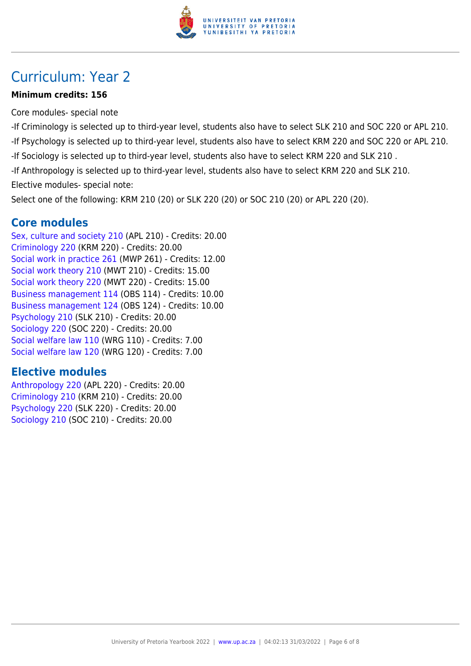

# Curriculum: Year 2

#### **Minimum credits: 156**

Core modules- special note

- -If Criminology is selected up to third-year level, students also have to select SLK 210 and SOC 220 or APL 210.
- -If Psychology is selected up to third-year level, students also have to select KRM 220 and SOC 220 or APL 210.
- -If Sociology is selected up to third-year level, students also have to select KRM 220 and SLK 210 .
- -If Anthropology is selected up to third-year level, students also have to select KRM 220 and SLK 210.
- Elective modules- special note:

Select one of the following: KRM 210 (20) or SLK 220 (20) or SOC 210 (20) or APL 220 (20).

### **Core modules**

[Sex, culture and society 210](https://www.up.ac.za/yearbooks/2022/modules/view/APL 210) (APL 210) - Credits: 20.00 [Criminology 220](https://www.up.ac.za/yearbooks/2022/modules/view/KRM 220) (KRM 220) - Credits: 20.00 [Social work in practice 261](https://www.up.ac.za/yearbooks/2022/modules/view/MWP 261) (MWP 261) - Credits: 12.00 [Social work theory 210](https://www.up.ac.za/yearbooks/2022/modules/view/MWT 210) (MWT 210) - Credits: 15.00 [Social work theory 220](https://www.up.ac.za/yearbooks/2022/modules/view/MWT 220) (MWT 220) - Credits: 15.00 [Business management 114](https://www.up.ac.za/yearbooks/2022/modules/view/OBS 114) (OBS 114) - Credits: 10.00 [Business management 124](https://www.up.ac.za/yearbooks/2022/modules/view/OBS 124) (OBS 124) - Credits: 10.00 [Psychology 210](https://www.up.ac.za/yearbooks/2022/modules/view/SLK 210) (SLK 210) - Credits: 20.00 [Sociology 220](https://www.up.ac.za/yearbooks/2022/modules/view/SOC 220) (SOC 220) - Credits: 20.00 [Social welfare law 110](https://www.up.ac.za/yearbooks/2022/modules/view/WRG 110) (WRG 110) - Credits: 7.00 [Social welfare law 120](https://www.up.ac.za/yearbooks/2022/modules/view/WRG 120) (WRG 120) - Credits: 7.00

### **Elective modules**

[Anthropology 220](https://www.up.ac.za/yearbooks/2022/modules/view/APL 220) (APL 220) - Credits: 20.00 [Criminology 210](https://www.up.ac.za/yearbooks/2022/modules/view/KRM 210) (KRM 210) - Credits: 20.00 [Psychology 220](https://www.up.ac.za/yearbooks/2022/modules/view/SLK 220) (SLK 220) - Credits: 20.00 [Sociology 210](https://www.up.ac.za/yearbooks/2022/modules/view/SOC 210) (SOC 210) - Credits: 20.00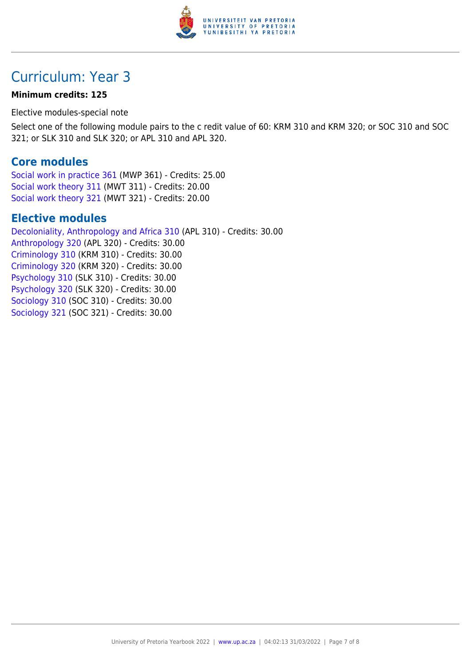

# Curriculum: Year 3

#### **Minimum credits: 125**

Elective modules-special note

Select one of the following module pairs to the c redit value of 60: KRM 310 and KRM 320; or SOC 310 and SOC 321; or SLK 310 and SLK 320; or APL 310 and APL 320.

### **Core modules**

[Social work in practice 361](https://www.up.ac.za/yearbooks/2022/modules/view/MWP 361) (MWP 361) - Credits: 25.00 [Social work theory 311](https://www.up.ac.za/yearbooks/2022/modules/view/MWT 311) (MWT 311) - Credits: 20.00 [Social work theory 321](https://www.up.ac.za/yearbooks/2022/modules/view/MWT 321) (MWT 321) - Credits: 20.00

### **Elective modules**

[Decoloniality, Anthropology and Africa 310](https://www.up.ac.za/yearbooks/2022/modules/view/APL 310) (APL 310) - Credits: 30.00 [Anthropology 320](https://www.up.ac.za/yearbooks/2022/modules/view/APL 320) (APL 320) - Credits: 30.00 [Criminology 310](https://www.up.ac.za/yearbooks/2022/modules/view/KRM 310) (KRM 310) - Credits: 30.00 [Criminology 320](https://www.up.ac.za/yearbooks/2022/modules/view/KRM 320) (KRM 320) - Credits: 30.00 [Psychology 310](https://www.up.ac.za/yearbooks/2022/modules/view/SLK 310) (SLK 310) - Credits: 30.00 [Psychology 320](https://www.up.ac.za/yearbooks/2022/modules/view/SLK 320) (SLK 320) - Credits: 30.00 [Sociology 310](https://www.up.ac.za/yearbooks/2022/modules/view/SOC 310) (SOC 310) - Credits: 30.00 [Sociology 321](https://www.up.ac.za/yearbooks/2022/modules/view/SOC 321) (SOC 321) - Credits: 30.00